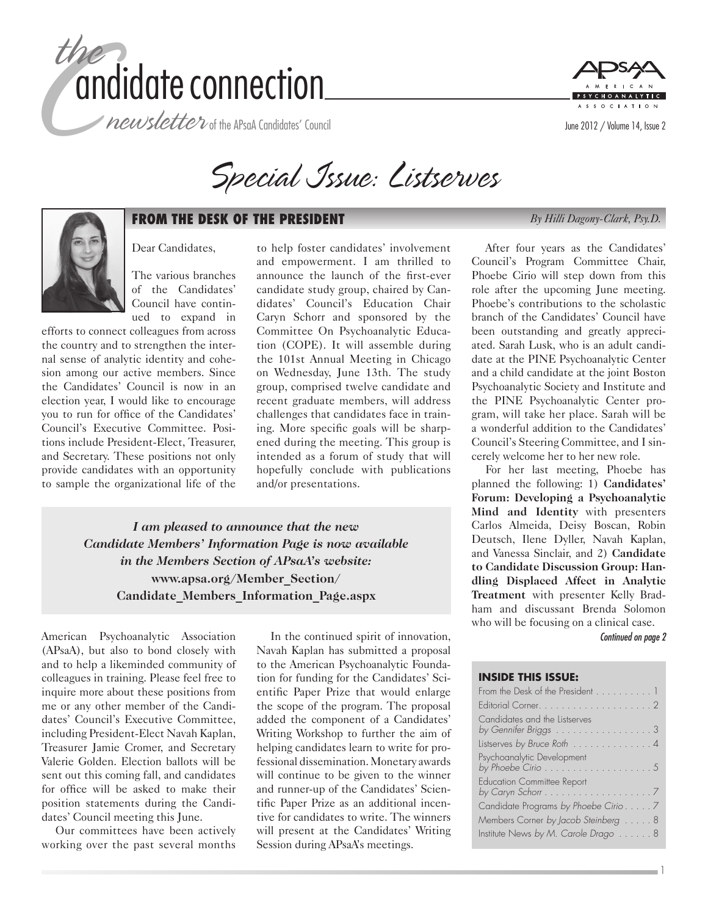

*newsletter* of the APsaA Candidates' Council







## **FROM THE DESK OF THE PRESIDENT** *By Hilli Dagony-Clark, Psy.D.*

Dear Candidates,

The various branches of the Candidates' Council have continued to expand in

efforts to connect colleagues from across the country and to strengthen the internal sense of analytic identity and cohesion among our active members. Since the Candidates' Council is now in an election year, I would like to encourage you to run for office of the Candidates' Council's Executive Committee. Positions include President-Elect, Treasurer, and Secretary. These positions not only provide candidates with an opportunity to sample the organizational life of the

to help foster candidates' involvement and empowerment. I am thrilled to announce the launch of the first-ever candidate study group, chaired by Candidates' Council's Education Chair Caryn Schorr and sponsored by the Committee On Psychoanalytic Education (COPE). It will assemble during the 101st Annual Meeting in Chicago on Wednesday, June 13th. The study group, comprised twelve candidate and recent graduate members, will address challenges that candidates face in training. More specific goals will be sharpened during the meeting. This group is intended as a forum of study that will hopefully conclude with publications and/or presentations.

*I am pleased to announce that the new Candidate Members' Information Page is now available in the Members Section of APsaA's website:*  **www.apsa.org/Member\_Section/ Candidate\_Members\_Information\_Page.aspx**

American Psychoanalytic Association (APsaA), but also to bond closely with and to help a likeminded community of colleagues in training. Please feel free to inquire more about these positions from me or any other member of the Candidates' Council's Executive Committee, including President-Elect Navah Kaplan, Treasurer Jamie Cromer, and Secretary Valerie Golden. Election ballots will be sent out this coming fall, and candidates for office will be asked to make their position statements during the Candidates' Council meeting this June.

Our committees have been actively working over the past several months

In the continued spirit of innovation, Navah Kaplan has submitted a proposal to the American Psychoanalytic Foundation for funding for the Candidates' Scientific Paper Prize that would enlarge the scope of the program. The proposal added the component of a Candidates' Writing Workshop to further the aim of helping candidates learn to write for professional dissemination. Monetary awards will continue to be given to the winner and runner-up of the Candidates' Scientific Paper Prize as an additional incentive for candidates to write. The winners will present at the Candidates' Writing Session during APsaA's meetings.

After four years as the Candidates' Council's Program Committee Chair, Phoebe Cirio will step down from this role after the upcoming June meeting. Phoebe's contributions to the scholastic branch of the Candidates' Council have been outstanding and greatly appreciated. Sarah Lusk, who is an adult candidate at the PINE Psychoanalytic Center and a child candidate at the joint Boston Psychoanalytic Society and Institute and the PINE Psychoanalytic Center program, will take her place. Sarah will be a wonderful addition to the Candidates' Council's Steering Committee, and I sincerely welcome her to her new role.

For her last meeting, Phoebe has planned the following: 1) **Candidates' Forum: Developing a Psychoanalytic Mind and Identity** with presenters Carlos Almeida, Deisy Boscan, Robin Deutsch, Ilene Dyller, Navah Kaplan, and Vanessa Sinclair, and 2) **Candidate to Candidate Discussion Group: Handling Displaced Affect in Analytic Treatment** with presenter Kelly Bradham and discussant Brenda Solomon who will be focusing on a clinical case.

*Continued on page 2*

1

#### **INSIDE THIS ISSUE:**

| From the Desk of the President 1                                                           |
|--------------------------------------------------------------------------------------------|
|                                                                                            |
| Candidates and the Listserves<br>by Gennifer Briggs 3                                      |
| Listserves by Bruce Roth 4                                                                 |
| Psychoanalytic Development<br>by Phoebe Cirio $\dots\dots\dots\dots\dots\dots\dots$        |
| <b>Education Committee Report</b><br>by Caryn Schorr $\dots\dots\dots\dots\dots\dots\dots$ |
| Candidate Programs by Phoebe Cirio7                                                        |
| Members Corner by Jacob Steinberg 8                                                        |
| Institute News by M. Carole Drago  8                                                       |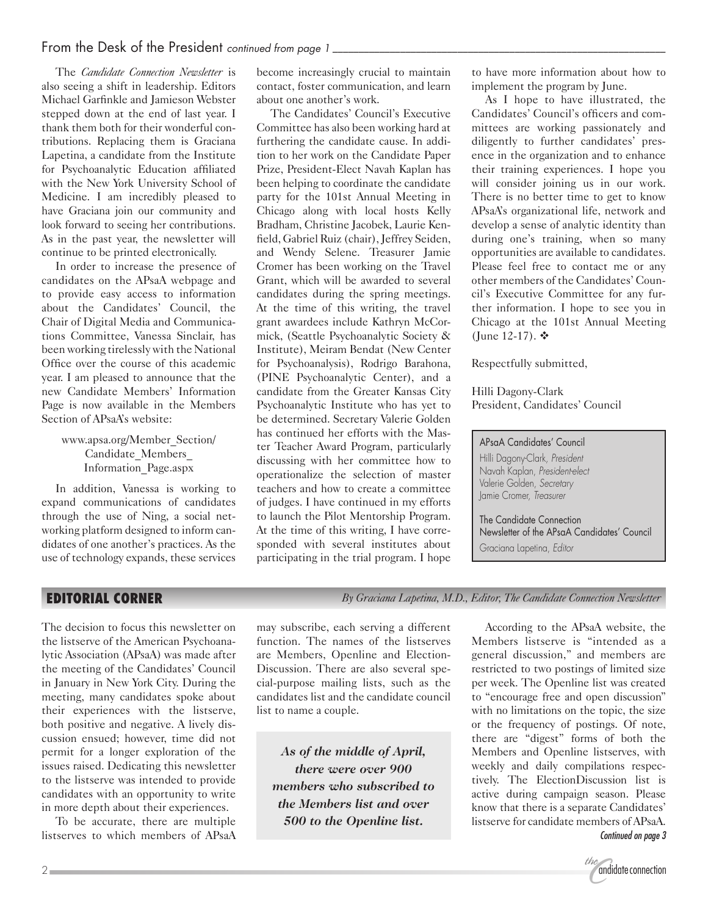## From the Desk of the President *continued from page 1 \_\_\_\_\_\_\_\_\_\_\_\_\_\_\_\_\_\_\_\_\_\_\_\_\_\_\_\_\_\_\_\_\_\_\_\_\_\_\_\_\_\_\_\_\_\_\_\_\_\_\_\_\_\_\_\_\_\_\_\_\_\_\_\_*

The *Candidate Connection Newsletter* is also seeing a shift in leadership. Editors Michael Garfinkle and Jamieson Webster stepped down at the end of last year. I thank them both for their wonderful contributions. Replacing them is Graciana Lapetina, a candidate from the Institute for Psychoanalytic Education affiliated with the New York University School of Medicine. I am incredibly pleased to have Graciana join our community and look forward to seeing her contributions. As in the past year, the newsletter will continue to be printed electronically.

In order to increase the presence of candidates on the APsaA webpage and to provide easy access to information about the Candidates' Council, the Chair of Digital Media and Communications Committee, Vanessa Sinclair, has been working tirelessly with the National Office over the course of this academic year. I am pleased to announce that the new Candidate Members' Information Page is now available in the Members Section of APsaA's website:

> www.apsa.org/Member\_Section/ Candidate\_Members\_ Information\_Page.aspx

In addition, Vanessa is working to expand communications of candidates through the use of Ning, a social networking platform designed to inform candidates of one another's practices. As the use of technology expands, these services become increasingly crucial to maintain contact, foster communication, and learn about one another's work.

The Candidates' Council's Executive Committee has also been working hard at furthering the candidate cause. In addition to her work on the Candidate Paper Prize, President-Elect Navah Kaplan has been helping to coordinate the candidate party for the 101st Annual Meeting in Chicago along with local hosts Kelly Bradham, Christine Jacobek, Laurie Kenfield, Gabriel Ruiz (chair), Jeffrey Seiden, and Wendy Selene. Treasurer Jamie Cromer has been working on the Travel Grant, which will be awarded to several candidates during the spring meetings. At the time of this writing, the travel grant awardees include Kathryn McCormick, (Seattle Psychoanalytic Society & Institute), Meiram Bendat (New Center for Psychoanalysis), Rodrigo Barahona, (PINE Psychoanalytic Center), and a candidate from the Greater Kansas City Psychoanalytic Institute who has yet to be determined. Secretary Valerie Golden has continued her efforts with the Master Teacher Award Program, particularly discussing with her committee how to operationalize the selection of master teachers and how to create a committee of judges. I have continued in my efforts to launch the Pilot Mentorship Program. At the time of this writing, I have corresponded with several institutes about participating in the trial program. I hope

to have more information about how to implement the program by June.

As I hope to have illustrated, the Candidates' Council's officers and committees are working passionately and diligently to further candidates' presence in the organization and to enhance their training experiences. I hope you will consider joining us in our work. There is no better time to get to know APsaA's organizational life, network and develop a sense of analytic identity than during one's training, when so many opportunities are available to candidates. Please feel free to contact me or any other members of the Candidates' Council's Executive Committee for any further information. I hope to see you in Chicago at the 101st Annual Meeting  $(June 12-17)$ . ❖

Respectfully submitted,

Hilli Dagony-Clark President, Candidates' Council

APsaA Candidates' Council Hilli Dagony-Clark, *President* Navah Kaplan, *President-elect* Valerie Golden, *Secretary* Jamie Cromer, *Treasurer*

The Candidate Connection Newsletter of the APsaA Candidates' Council Graciana Lapetina, *Editor*

## **EDITORIAL CORNER** *By Graciana Lapetina, M.D., Editor, The Candidate Connection Newsletter*

The decision to focus this newsletter on the listserve of the American Psychoanalytic Association (APsaA) was made after the meeting of the Candidates' Council in January in New York City. During the meeting, many candidates spoke about their experiences with the listserve, both positive and negative. A lively discussion ensued; however, time did not permit for a longer exploration of the issues raised. Dedicating this newsletter to the listserve was intended to provide candidates with an opportunity to write in more depth about their experiences.

To be accurate, there are multiple listserves to which members of APsaA

may subscribe, each serving a different function. The names of the listserves are Members, Openline and Election-Discussion. There are also several special-purpose mailing lists, such as the candidates list and the candidate council list to name a couple.

*As of the middle of April, there were over 900 members who subscribed to the Members list and over 500 to the Openline list.*

According to the APsaA website, the Members listserve is "intended as a general discussion," and members are restricted to two postings of limited size per week. The Openline list was created to "encourage free and open discussion" with no limitations on the topic, the size or the frequency of postings. Of note, there are "digest" forms of both the Members and Openline listserves, with weekly and daily compilations respectively. The ElectionDiscussion list is active during campaign season. Please know that there is a separate Candidates' listserve for candidate members of APsaA. *Continued on page 3*

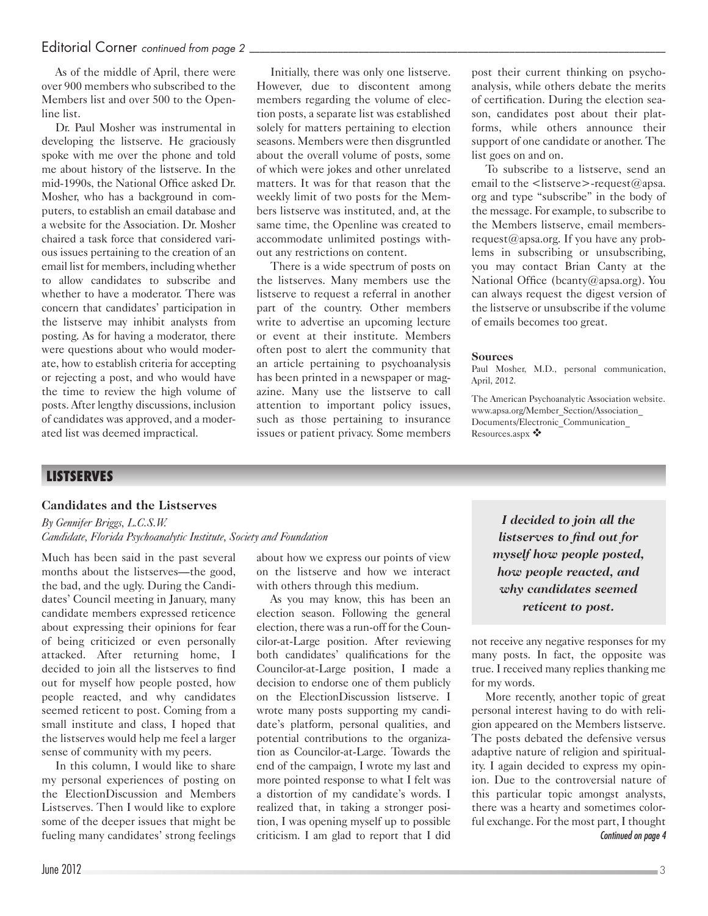## Editorial Corner *continued from page 2*

As of the middle of April, there were over 900 members who subscribed to the Members list and over 500 to the Openline list.

Dr. Paul Mosher was instrumental in developing the listserve. He graciously spoke with me over the phone and told me about history of the listserve. In the mid-1990s, the National Office asked Dr. Mosher, who has a background in computers, to establish an email database and a website for the Association. Dr. Mosher chaired a task force that considered various issues pertaining to the creation of an email list for members, including whether to allow candidates to subscribe and whether to have a moderator. There was concern that candidates' participation in the listserve may inhibit analysts from posting. As for having a moderator, there were questions about who would moderate, how to establish criteria for accepting or rejecting a post, and who would have the time to review the high volume of posts. After lengthy discussions, inclusion of candidates was approved, and a moderated list was deemed impractical.

Initially, there was only one listserve. However, due to discontent among members regarding the volume of election posts, a separate list was established solely for matters pertaining to election seasons. Members were then disgruntled about the overall volume of posts, some of which were jokes and other unrelated matters. It was for that reason that the weekly limit of two posts for the Members listserve was instituted, and, at the same time, the Openline was created to accommodate unlimited postings without any restrictions on content.

There is a wide spectrum of posts on the listserves. Many members use the listserve to request a referral in another part of the country. Other members write to advertise an upcoming lecture or event at their institute. Members often post to alert the community that an article pertaining to psychoanalysis has been printed in a newspaper or magazine. Many use the listserve to call attention to important policy issues, such as those pertaining to insurance issues or patient privacy. Some members post their current thinking on psychoanalysis, while others debate the merits of certification. During the election season, candidates post about their platforms, while others announce their support of one candidate or another. The list goes on and on.

To subscribe to a listserve, send an email to the  $\leq$ listserve $\geq$ -request $\omega$ apsa. org and type "subscribe" in the body of the message. For example, to subscribe to the Members listserve, email membersrequest@apsa.org. If you have any problems in subscribing or unsubscribing, you may contact Brian Canty at the National Office (bcanty@apsa.org). You can always request the digest version of the listserve or unsubscribe if the volume of emails becomes too great.

#### **Sources**

Paul Mosher, M.D., personal communication, April, 2012.

The American Psychoanalytic Association website. www.apsa.org/Member\_Section/Association\_ Documents/Electronic\_Communication\_ Resources.aspx  $\clubsuit$ 

# **LISTSERVES**

## **Candidates and the Listserves**

*By Gennifer Briggs, L.C.S.W. Candidate, Florida Psychoanalytic Institute, Society and Foundation*

Much has been said in the past several months about the listserves—the good, the bad, and the ugly. During the Candidates' Council meeting in January, many candidate members expressed reticence about expressing their opinions for fear of being criticized or even personally attacked. After returning home, I decided to join all the listserves to find out for myself how people posted, how people reacted, and why candidates seemed reticent to post. Coming from a small institute and class, I hoped that the listserves would help me feel a larger sense of community with my peers.

In this column, I would like to share my personal experiences of posting on the ElectionDiscussion and Members Listserves. Then I would like to explore some of the deeper issues that might be fueling many candidates' strong feelings

about how we express our points of view on the listserve and how we interact with others through this medium.

As you may know, this has been an election season. Following the general election, there was a run-off for the Councilor-at-Large position. After reviewing both candidates' qualifications for the Councilor-at-Large position, I made a decision to endorse one of them publicly on the ElectionDiscussion listserve. I wrote many posts supporting my candidate's platform, personal qualities, and potential contributions to the organization as Councilor-at-Large. Towards the end of the campaign, I wrote my last and more pointed response to what I felt was a distortion of my candidate's words. I realized that, in taking a stronger position, I was opening myself up to possible criticism. I am glad to report that I did

*I decided to join all the listserves to find out for myself how people posted, how people reacted, and why candidates seemed reticent to post.*

not receive any negative responses for my many posts. In fact, the opposite was true. I received many replies thanking me for my words.

More recently, another topic of great personal interest having to do with religion appeared on the Members listserve. The posts debated the defensive versus adaptive nature of religion and spirituality. I again decided to express my opinion. Due to the controversial nature of this particular topic amongst analysts, there was a hearty and sometimes colorful exchange. For the most part, I thought *Continued on page 4*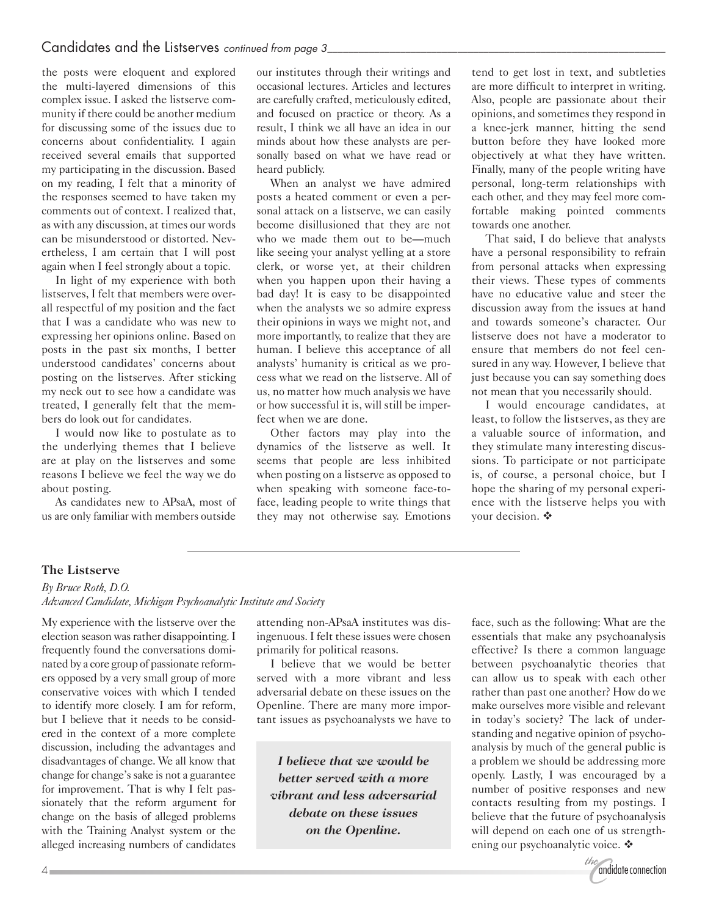the posts were eloquent and explored the multi-layered dimensions of this complex issue. I asked the listserve community if there could be another medium for discussing some of the issues due to concerns about confidentiality. I again received several emails that supported my participating in the discussion. Based on my reading, I felt that a minority of the responses seemed to have taken my comments out of context. I realized that, as with any discussion, at times our words can be misunderstood or distorted. Nevertheless, I am certain that I will post again when I feel strongly about a topic.

In light of my experience with both listserves, I felt that members were overall respectful of my position and the fact that I was a candidate who was new to expressing her opinions online. Based on posts in the past six months, I better understood candidates' concerns about posting on the listserves. After sticking my neck out to see how a candidate was treated, I generally felt that the members do look out for candidates.

I would now like to postulate as to the underlying themes that I believe are at play on the listserves and some reasons I believe we feel the way we do about posting.

As candidates new to APsaA, most of us are only familiar with members outside

our institutes through their writings and occasional lectures. Articles and lectures are carefully crafted, meticulously edited, and focused on practice or theory. As a result, I think we all have an idea in our minds about how these analysts are personally based on what we have read or heard publicly.

When an analyst we have admired posts a heated comment or even a personal attack on a listserve, we can easily become disillusioned that they are not who we made them out to be—much like seeing your analyst yelling at a store clerk, or worse yet, at their children when you happen upon their having a bad day! It is easy to be disappointed when the analysts we so admire express their opinions in ways we might not, and more importantly, to realize that they are human. I believe this acceptance of all analysts' humanity is critical as we process what we read on the listserve. All of us, no matter how much analysis we have or how successful it is, will still be imperfect when we are done.

Other factors may play into the dynamics of the listserve as well. It seems that people are less inhibited when posting on a listserve as opposed to when speaking with someone face-toface, leading people to write things that they may not otherwise say. Emotions tend to get lost in text, and subtleties are more difficult to interpret in writing. Also, people are passionate about their opinions, and sometimes they respond in a knee-jerk manner, hitting the send button before they have looked more objectively at what they have written. Finally, many of the people writing have personal, long-term relationships with each other, and they may feel more comfortable making pointed comments towards one another.

That said, I do believe that analysts have a personal responsibility to refrain from personal attacks when expressing their views. These types of comments have no educative value and steer the discussion away from the issues at hand and towards someone's character. Our listserve does not have a moderator to ensure that members do not feel censured in any way. However, I believe that just because you can say something does not mean that you necessarily should.

I would encourage candidates, at least, to follow the listserves, as they are a valuable source of information, and they stimulate many interesting discussions. To participate or not participate is, of course, a personal choice, but I hope the sharing of my personal experience with the listserve helps you with your decision.  $\ddot{\bullet}$ 

## **The Listserve**

*By Bruce Roth, D.O. Advanced Candidate, Michigan Psychoanalytic Institute and Society*

My experience with the listserve over the election season was rather disappointing. I frequently found the conversations dominated by a core group of passionate reformers opposed by a very small group of more conservative voices with which I tended to identify more closely. I am for reform, but I believe that it needs to be considered in the context of a more complete discussion, including the advantages and disadvantages of change. We all know that change for change's sake is not a guarantee for improvement. That is why I felt passionately that the reform argument for change on the basis of alleged problems with the Training Analyst system or the alleged increasing numbers of candidates

attending non-APsaA institutes was disingenuous. I felt these issues were chosen primarily for political reasons.

I believe that we would be better served with a more vibrant and less adversarial debate on these issues on the Openline. There are many more important issues as psychoanalysts we have to

*I believe that we would be better served with a more vibrant and less adversarial debate on these issues on the Openline.*

face, such as the following: What are the essentials that make any psychoanalysis effective? Is there a common language between psychoanalytic theories that can allow us to speak with each other rather than past one another? How do we make ourselves more visible and relevant in today's society? The lack of understanding and negative opinion of psychoanalysis by much of the general public is a problem we should be addressing more openly. Lastly, I was encouraged by a number of positive responses and new contacts resulting from my postings. I believe that the future of psychoanalysis will depend on each one of us strengthening our psychoanalytic voice. ❖

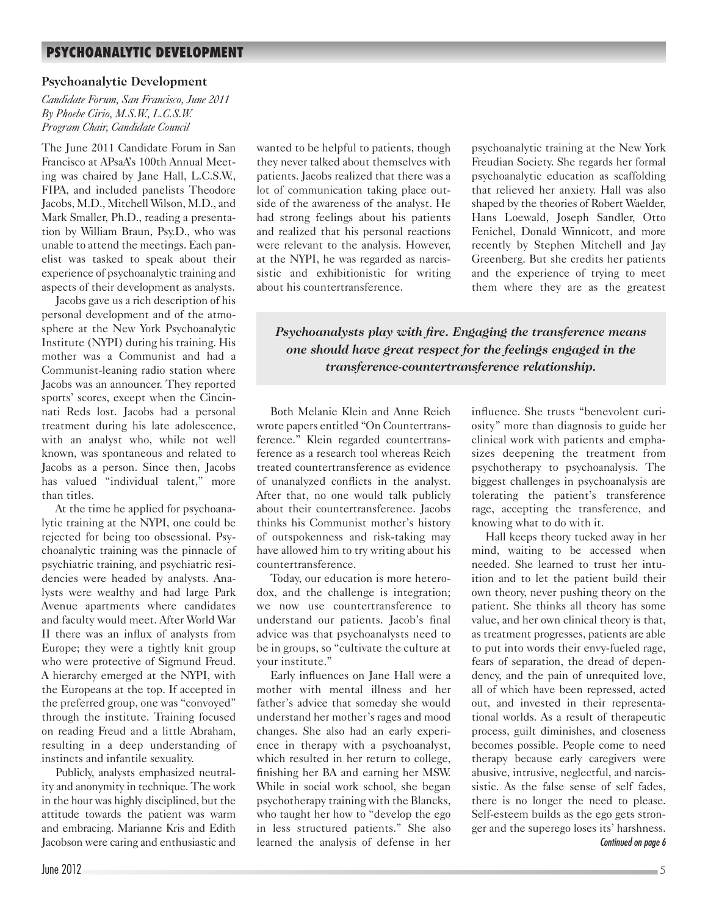# **PSYCHOANALYTIC DEVELOPMENT**

#### **Psychoanalytic Development**

*Candidate Forum, San Francisco, June 2011 By Phoebe Cirio, M.S.W., L.C.S.W. Program Chair, Candidate Council*

The June 2011 Candidate Forum in San Francisco at APsaA's 100th Annual Meeting was chaired by Jane Hall, L.C.S.W., FIPA, and included panelists Theodore Jacobs, M.D., Mitchell Wilson, M.D., and Mark Smaller, Ph.D., reading a presentation by William Braun, Psy.D., who was unable to attend the meetings. Each panelist was tasked to speak about their experience of psychoanalytic training and aspects of their development as analysts.

Jacobs gave us a rich description of his personal development and of the atmosphere at the New York Psychoanalytic Institute (NYPI) during his training. His mother was a Communist and had a Communist-leaning radio station where Jacobs was an announcer. They reported sports' scores, except when the Cincinnati Reds lost. Jacobs had a personal treatment during his late adolescence, with an analyst who, while not well known, was spontaneous and related to Jacobs as a person. Since then, Jacobs has valued "individual talent," more than titles.

At the time he applied for psychoanalytic training at the NYPI, one could be rejected for being too obsessional. Psychoanalytic training was the pinnacle of psychiatric training, and psychiatric residencies were headed by analysts. Analysts were wealthy and had large Park Avenue apartments where candidates and faculty would meet. After World War II there was an influx of analysts from Europe; they were a tightly knit group who were protective of Sigmund Freud. A hierarchy emerged at the NYPI, with the Europeans at the top. If accepted in the preferred group, one was "convoyed" through the institute. Training focused on reading Freud and a little Abraham, resulting in a deep understanding of instincts and infantile sexuality.

Publicly, analysts emphasized neutrality and anonymity in technique. The work in the hour was highly disciplined, but the attitude towards the patient was warm and embracing. Marianne Kris and Edith Jacobson were caring and enthusiastic and

wanted to be helpful to patients, though they never talked about themselves with patients. Jacobs realized that there was a lot of communication taking place outside of the awareness of the analyst. He had strong feelings about his patients and realized that his personal reactions were relevant to the analysis. However, at the NYPI, he was regarded as narcissistic and exhibitionistic for writing about his countertransference.

psychoanalytic training at the New York Freudian Society. She regards her formal psychoanalytic education as scaffolding that relieved her anxiety. Hall was also shaped by the theories of Robert Waelder, Hans Loewald, Joseph Sandler, Otto Fenichel, Donald Winnicott, and more recently by Stephen Mitchell and Jay Greenberg. But she credits her patients and the experience of trying to meet them where they are as the greatest

*Psychoanalysts play with fire. Engaging the transference means one should have great respect for the feelings engaged in the transference-countertransference relationship.*

Both Melanie Klein and Anne Reich wrote papers entitled "On Countertransference." Klein regarded countertransference as a research tool whereas Reich treated countertransference as evidence of unanalyzed conflicts in the analyst. After that, no one would talk publicly about their countertransference. Jacobs thinks his Communist mother's history of outspokenness and risk-taking may have allowed him to try writing about his countertransference.

Today, our education is more heterodox, and the challenge is integration; we now use countertransference to understand our patients. Jacob's final advice was that psychoanalysts need to be in groups, so "cultivate the culture at your institute."

Early influences on Jane Hall were a mother with mental illness and her father's advice that someday she would understand her mother's rages and mood changes. She also had an early experience in therapy with a psychoanalyst, which resulted in her return to college, finishing her BA and earning her MSW. While in social work school, she began psychotherapy training with the Blancks, who taught her how to "develop the ego in less structured patients." She also learned the analysis of defense in her influence. She trusts "benevolent curiosity" more than diagnosis to guide her clinical work with patients and emphasizes deepening the treatment from psychotherapy to psychoanalysis. The biggest challenges in psychoanalysis are tolerating the patient's transference rage, accepting the transference, and knowing what to do with it.

Hall keeps theory tucked away in her mind, waiting to be accessed when needed. She learned to trust her intuition and to let the patient build their own theory, never pushing theory on the patient. She thinks all theory has some value, and her own clinical theory is that, as treatment progresses, patients are able to put into words their envy-fueled rage, fears of separation, the dread of dependency, and the pain of unrequited love, all of which have been repressed, acted out, and invested in their representational worlds. As a result of therapeutic process, guilt diminishes, and closeness becomes possible. People come to need therapy because early caregivers were abusive, intrusive, neglectful, and narcissistic. As the false sense of self fades, there is no longer the need to please. Self-esteem builds as the ego gets stronger and the superego loses its' harshness. *Continued on page 6*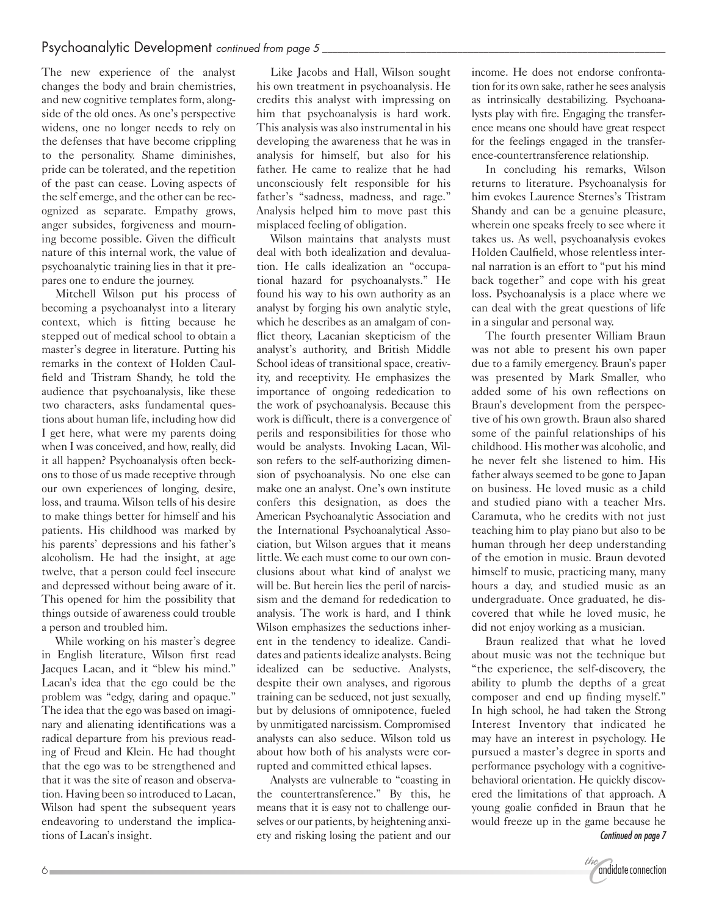The new experience of the analyst changes the body and brain chemistries, and new cognitive templates form, alongside of the old ones. As one's perspective widens, one no longer needs to rely on the defenses that have become crippling to the personality. Shame diminishes, pride can be tolerated, and the repetition of the past can cease. Loving aspects of the self emerge, and the other can be recognized as separate. Empathy grows, anger subsides, forgiveness and mourning become possible. Given the difficult nature of this internal work, the value of psychoanalytic training lies in that it prepares one to endure the journey.

Mitchell Wilson put his process of becoming a psychoanalyst into a literary context, which is fitting because he stepped out of medical school to obtain a master's degree in literature. Putting his remarks in the context of Holden Caulfield and Tristram Shandy, he told the audience that psychoanalysis, like these two characters, asks fundamental questions about human life, including how did I get here, what were my parents doing when I was conceived, and how, really, did it all happen? Psychoanalysis often beckons to those of us made receptive through our own experiences of longing, desire, loss, and trauma. Wilson tells of his desire to make things better for himself and his patients. His childhood was marked by his parents' depressions and his father's alcoholism. He had the insight, at age twelve, that a person could feel insecure and depressed without being aware of it. This opened for him the possibility that things outside of awareness could trouble a person and troubled him.

While working on his master's degree in English literature, Wilson first read Jacques Lacan, and it "blew his mind." Lacan's idea that the ego could be the problem was "edgy, daring and opaque." The idea that the ego was based on imaginary and alienating identifications was a radical departure from his previous reading of Freud and Klein. He had thought that the ego was to be strengthened and that it was the site of reason and observation. Having been so introduced to Lacan, Wilson had spent the subsequent years endeavoring to understand the implications of Lacan's insight.

Like Jacobs and Hall, Wilson sought his own treatment in psychoanalysis. He credits this analyst with impressing on him that psychoanalysis is hard work. This analysis was also instrumental in his developing the awareness that he was in analysis for himself, but also for his father. He came to realize that he had unconsciously felt responsible for his father's "sadness, madness, and rage." Analysis helped him to move past this misplaced feeling of obligation.

Wilson maintains that analysts must deal with both idealization and devaluation. He calls idealization an "occupational hazard for psychoanalysts." He found his way to his own authority as an analyst by forging his own analytic style, which he describes as an amalgam of conflict theory, Lacanian skepticism of the analyst's authority, and British Middle School ideas of transitional space, creativity, and receptivity. He emphasizes the importance of ongoing rededication to the work of psychoanalysis. Because this work is difficult, there is a convergence of perils and responsibilities for those who would be analysts. Invoking Lacan, Wilson refers to the self-authorizing dimension of psychoanalysis. No one else can make one an analyst. One's own institute confers this designation, as does the American Psychoanalytic Association and the International Psychoanalytical Association, but Wilson argues that it means little. We each must come to our own conclusions about what kind of analyst we will be. But herein lies the peril of narcissism and the demand for rededication to analysis. The work is hard, and I think Wilson emphasizes the seductions inherent in the tendency to idealize. Candidates and patients idealize analysts. Being idealized can be seductive. Analysts, despite their own analyses, and rigorous training can be seduced, not just sexually, but by delusions of omnipotence, fueled by unmitigated narcissism. Compromised analysts can also seduce. Wilson told us about how both of his analysts were corrupted and committed ethical lapses.

Analysts are vulnerable to "coasting in the countertransference." By this, he means that it is easy not to challenge ourselves or our patients, by heightening anxiety and risking losing the patient and our income. He does not endorse confrontation for its own sake, rather he sees analysis as intrinsically destabilizing. Psychoanalysts play with fire. Engaging the transference means one should have great respect for the feelings engaged in the transference-countertransference relationship.

In concluding his remarks, Wilson returns to literature. Psychoanalysis for him evokes Laurence Sternes's Tristram Shandy and can be a genuine pleasure, wherein one speaks freely to see where it takes us. As well, psychoanalysis evokes Holden Caulfield, whose relentless internal narration is an effort to "put his mind back together" and cope with his great loss. Psychoanalysis is a place where we can deal with the great questions of life in a singular and personal way.

The fourth presenter William Braun was not able to present his own paper due to a family emergency. Braun's paper was presented by Mark Smaller, who added some of his own reflections on Braun's development from the perspective of his own growth. Braun also shared some of the painful relationships of his childhood. His mother was alcoholic, and he never felt she listened to him. His father always seemed to be gone to Japan on business. He loved music as a child and studied piano with a teacher Mrs. Caramuta, who he credits with not just teaching him to play piano but also to be human through her deep understanding of the emotion in music. Braun devoted himself to music, practicing many, many hours a day, and studied music as an undergraduate. Once graduated, he discovered that while he loved music, he did not enjoy working as a musician.

Braun realized that what he loved about music was not the technique but "the experience, the self-discovery, the ability to plumb the depths of a great composer and end up finding myself." In high school, he had taken the Strong Interest Inventory that indicated he may have an interest in psychology. He pursued a master's degree in sports and performance psychology with a cognitivebehavioral orientation. He quickly discovered the limitations of that approach. A young goalie confided in Braun that he would freeze up in the game because he *Continued on page 7*

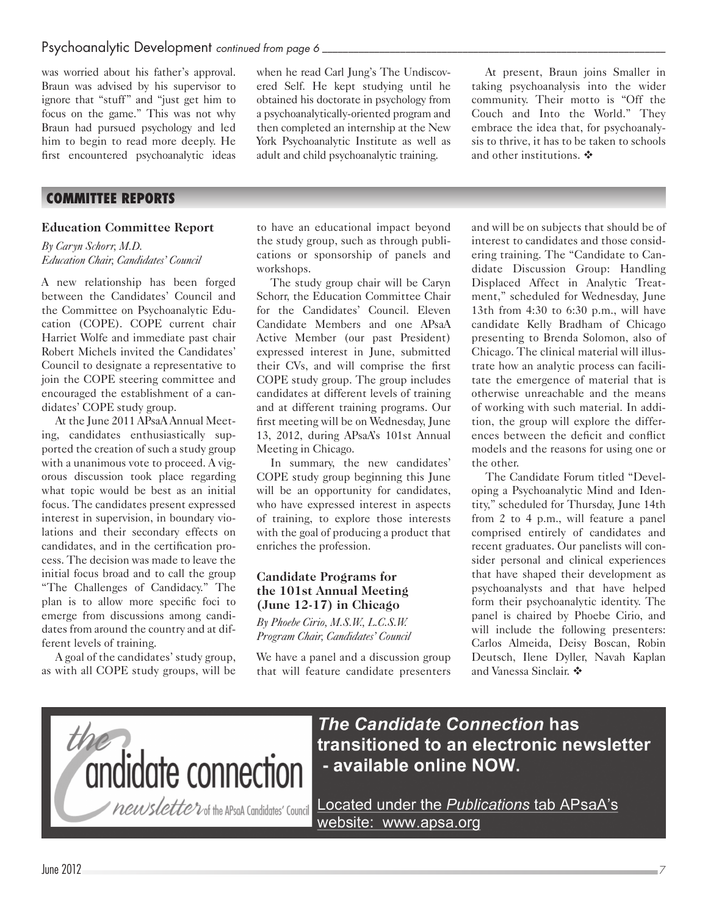was worried about his father's approval. Braun was advised by his supervisor to ignore that "stuff" and "just get him to focus on the game." This was not why Braun had pursued psychology and led him to begin to read more deeply. He first encountered psychoanalytic ideas

## **COMMITTEE REPORTS**

#### **Education Committee Report**

*By Caryn Schorr, M.D. Education Chair, Candidates' Council*

A new relationship has been forged between the Candidates' Council and the Committee on Psychoanalytic Education (COPE). COPE current chair Harriet Wolfe and immediate past chair Robert Michels invited the Candidates' Council to designate a representative to join the COPE steering committee and encouraged the establishment of a candidates' COPE study group.

At the June 2011 APsaA Annual Meeting, candidates enthusiastically supported the creation of such a study group with a unanimous vote to proceed. A vigorous discussion took place regarding what topic would be best as an initial focus. The candidates present expressed interest in supervision, in boundary violations and their secondary effects on candidates, and in the certification process. The decision was made to leave the initial focus broad and to call the group "The Challenges of Candidacy." The plan is to allow more specific foci to emerge from discussions among candidates from around the country and at different levels of training.

A goal of the candidates' study group, as with all COPE study groups, will be

when he read Carl Jung's The Undiscovered Self. He kept studying until he obtained his doctorate in psychology from a psychoanalytically-oriented program and then completed an internship at the New York Psychoanalytic Institute as well as adult and child psychoanalytic training.

At present, Braun joins Smaller in taking psychoanalysis into the wider community. Their motto is "Off the Couch and Into the World." They embrace the idea that, for psychoanalysis to thrive, it has to be taken to schools and other institutions.  $\mathbf{\hat{P}}$ 

to have an educational impact beyond the study group, such as through publications or sponsorship of panels and workshops.

The study group chair will be Caryn Schorr, the Education Committee Chair for the Candidates' Council. Eleven Candidate Members and one APsaA Active Member (our past President) expressed interest in June, submitted their CVs, and will comprise the first COPE study group. The group includes candidates at different levels of training and at different training programs. Our first meeting will be on Wednesday, June 13, 2012, during APsaA's 101st Annual Meeting in Chicago.

In summary, the new candidates' COPE study group beginning this June will be an opportunity for candidates, who have expressed interest in aspects of training, to explore those interests with the goal of producing a product that enriches the profession.

#### **Candidate Programs for the 101st Annual Meeting (June 12-17) in Chicago**

*By Phoebe Cirio, M.S.W., L.C.S.W. Program Chair, Candidates' Council*

We have a panel and a discussion group that will feature candidate presenters and will be on subjects that should be of interest to candidates and those considering training. The "Candidate to Candidate Discussion Group: Handling Displaced Affect in Analytic Treatment," scheduled for Wednesday, June 13th from 4:30 to 6:30 p.m., will have candidate Kelly Bradham of Chicago presenting to Brenda Solomon, also of Chicago. The clinical material will illustrate how an analytic process can facilitate the emergence of material that is otherwise unreachable and the means of working with such material. In addition, the group will explore the differences between the deficit and conflict models and the reasons for using one or the other.

The Candidate Forum titled "Developing a Psychoanalytic Mind and Identity," scheduled for Thursday, June 14th from 2 to 4 p.m., will feature a panel comprised entirely of candidates and recent graduates. Our panelists will consider personal and clinical experiences that have shaped their development as psychoanalysts and that have helped form their psychoanalytic identity. The panel is chaired by Phoebe Cirio, and will include the following presenters: Carlos Almeida, Deisy Boscan, Robin Deutsch, Ilene Dyller, Navah Kaplan and Vanessa Sinclair.  $\clubsuit$ 



The Candidate Connection has transitioned to an electronic newsletter - available online NOW.

Located under the Publications tab APsaA's website: www.apsa.org